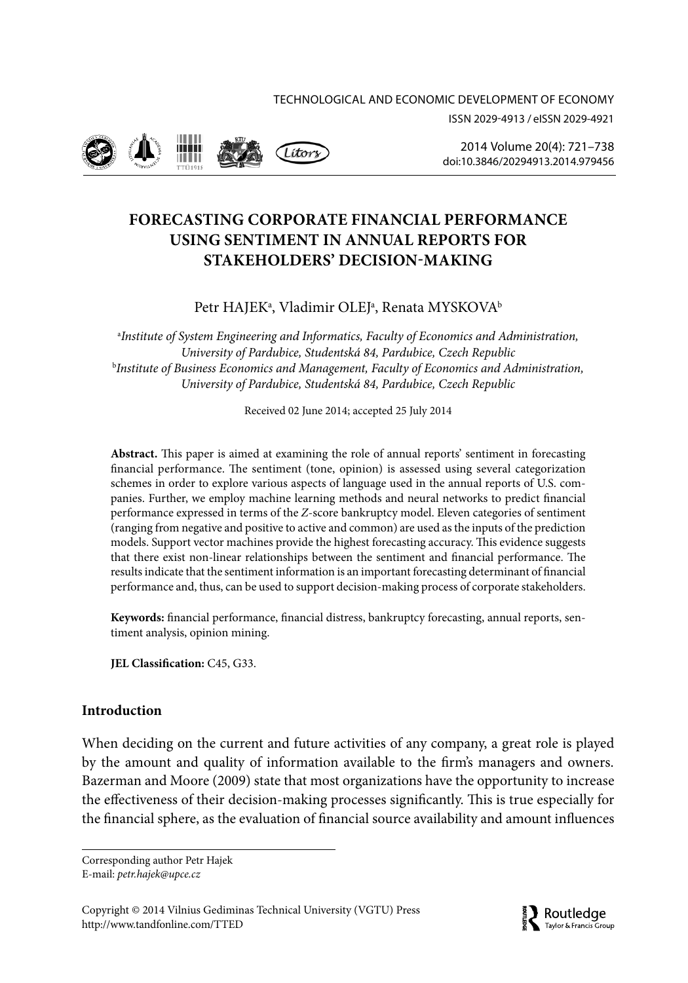



2014 Volume 20(4): 721–738 [doi:10.3846/20294913.2014.979456](http://dx.doi.org/10.3846/20294913.2014.979456)

# **Forecasting corporate financial performance using sentiment in annual reports FOR STAKEHOLDERS' DECISION-MAKING**

# Petr HAJEK<sup>a</sup>, Vladimir OLEJ<sup>a</sup>, Renata MYSKOVA<sup>b</sup>

a *Institute of System Engineering and Informatics, Faculty of Economics and Administration, University of Pardubice, Studentská 84, Pardubice, Czech Republic* b *Institute of Business Economics and Management, Faculty of Economics and Administration, University of Pardubice, Studentská 84, Pardubice, Czech Republic*

Received 02 June 2014; accepted 25 July 2014

**Abstract.** This paper is aimed at examining the role of annual reports' sentiment in forecasting financial performance. The sentiment (tone, opinion) is assessed using several categorization schemes in order to explore various aspects of language used in the annual reports of U.S. companies. Further, we employ machine learning methods and neural networks to predict financial performance expressed in terms of the *Z*-score bankruptcy model. Eleven categories of sentiment (ranging from negative and positive to active and common) are used as the inputs of the prediction models. Support vector machines provide the highest forecasting accuracy. This evidence suggests that there exist non-linear relationships between the sentiment and financial performance. The results indicate that the sentiment information is an important forecasting determinant of financial performance and, thus, can be used to support decision-making process of corporate stakeholders.

**Keywords:** financial performance, financial distress, bankruptcy forecasting, annual reports, sentiment analysis, opinion mining.

**JEL Classification:** C45, G33.

## **Introduction**

When deciding on the current and future activities of any company, a great role is played by the amount and quality of information available to the firm's managers and owners. Bazerman and Moore (2009) state that most organizations have the opportunity to increase the effectiveness of their decision-making processes significantly. This is true especially for the financial sphere, as the evaluation of financial source availability and amount influences

Corresponding author Petr Hajek E-mail: *petr.hajek@upce.cz*

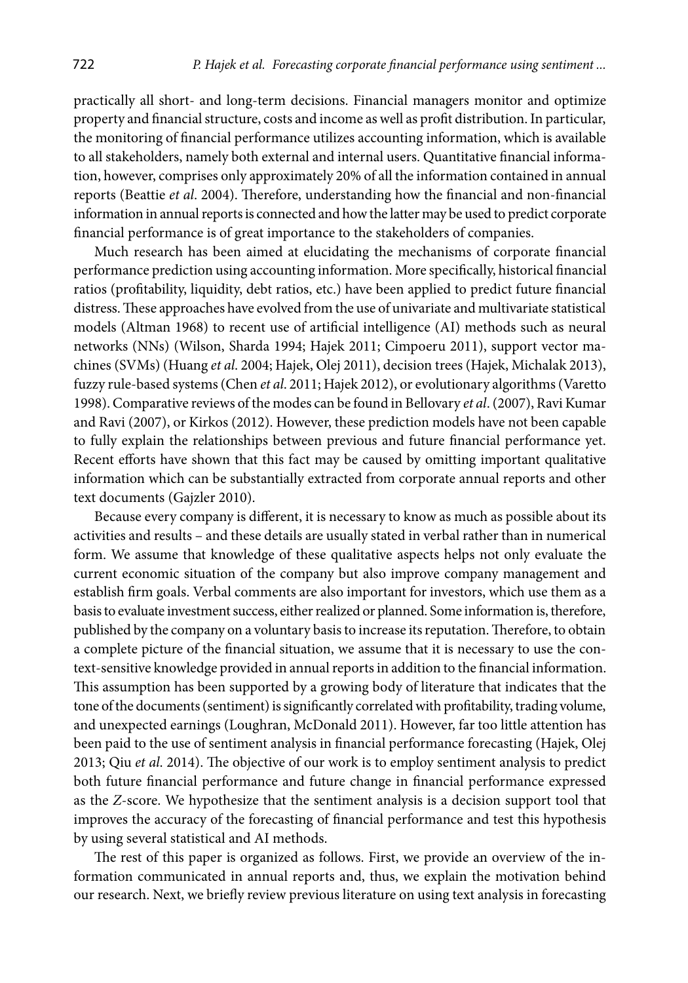practically all short- and long-term decisions. Financial managers monitor and optimize property and financial structure, costs and income as well as profit distribution. In particular, the monitoring of financial performance utilizes accounting information, which is available to all stakeholders, namely both external and internal users. Quantitative financial information, however, comprises only approximately 20% of all the information contained in annual reports (Beattie *et al*. 2004). Therefore, understanding how the financial and non-financial information in annual reports is connected and how the latter may be used to predict corporate financial performance is of great importance to the stakeholders of companies.

Much research has been aimed at elucidating the mechanisms of corporate financial performance prediction using accounting information. More specifically, historical financial ratios (profitability, liquidity, debt ratios, etc.) have been applied to predict future financial distress. These approaches have evolved from the use of univariate and multivariate statistical models (Altman 1968) to recent use of artificial intelligence (AI) methods such as neural networks (NNs) (Wilson, Sharda 1994; Hajek 2011; Cimpoeru 2011), support vector machines (SVMs) (Huang *et al*. 2004; Hajek, Olej 2011), decision trees (Hajek, Michalak 2013), fuzzy rule-based systems (Chen *et al*. 2011; Hajek 2012), or evolutionary algorithms (Varetto 1998). Comparative reviews of the modes can be found in Bellovary *et al*. (2007), Ravi Kumar and Ravi (2007), or Kirkos (2012). However, these prediction models have not been capable to fully explain the relationships between previous and future financial performance yet. Recent efforts have shown that this fact may be caused by omitting important qualitative information which can be substantially extracted from corporate annual reports and other text documents (Gajzler 2010).

Because every company is different, it is necessary to know as much as possible about its activities and results – and these details are usually stated in verbal rather than in numerical form. We assume that knowledge of these qualitative aspects helps not only evaluate the current economic situation of the company but also improve company management and establish firm goals. Verbal comments are also important for investors, which use them as a basis to evaluate investment success, either realized or planned. Some information is, therefore, published by the company on a voluntary basis to increase its reputation. Therefore, to obtain a complete picture of the financial situation, we assume that it is necessary to use the context-sensitive knowledge provided in annual reports in addition to the financial information. This assumption has been supported by a growing body of literature that indicates that the tone of the documents (sentiment) is significantly correlated with profitability, trading volume, and unexpected earnings (Loughran, McDonald 2011). However, far too little attention has been paid to the use of sentiment analysis in financial performance forecasting (Hajek, Olej 2013; Qiu *et al*. 2014). The objective of our work is to employ sentiment analysis to predict both future financial performance and future change in financial performance expressed as the *Z*-score. We hypothesize that the sentiment analysis is a decision support tool that improves the accuracy of the forecasting of financial performance and test this hypothesis by using several statistical and AI methods.

The rest of this paper is organized as follows. First, we provide an overview of the information communicated in annual reports and, thus, we explain the motivation behind our research. Next, we briefly review previous literature on using text analysis in forecasting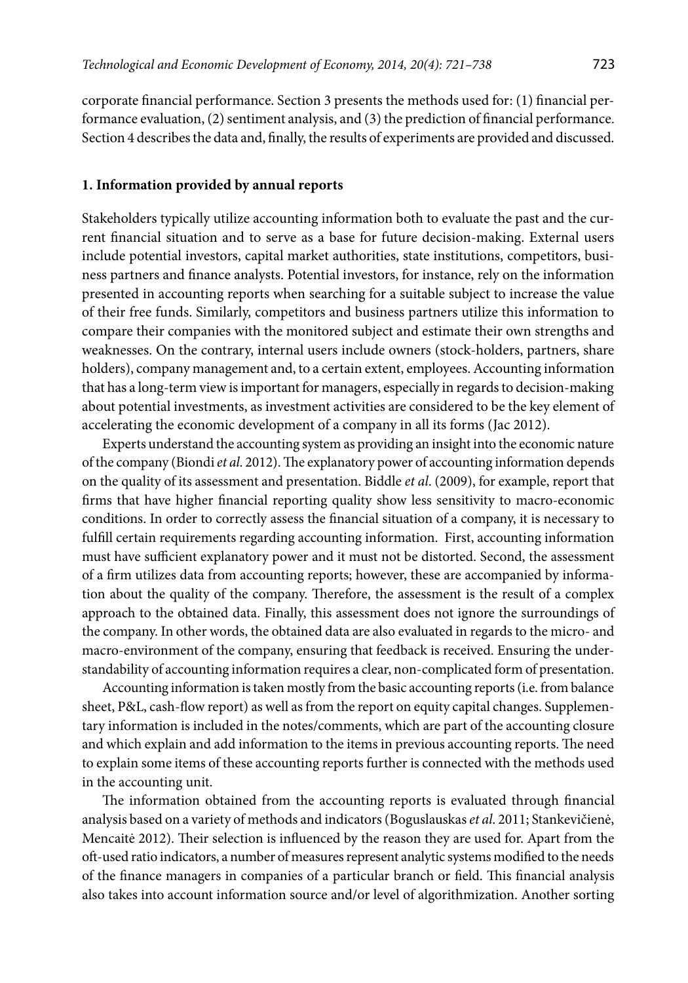corporate financial performance. Section 3 presents the methods used for: (1) financial performance evaluation, (2) sentiment analysis, and (3) the prediction of financial performance. Section 4 describes the data and, finally, the results of experiments are provided and discussed.

### **1. Information provided by annual reports**

Stakeholders typically utilize accounting information both to evaluate the past and the current financial situation and to serve as a base for future decision-making. External users include potential investors, capital market authorities, state institutions, competitors, business partners and finance analysts. Potential investors, for instance, rely on the information presented in accounting reports when searching for a suitable subject to increase the value of their free funds. Similarly, competitors and business partners utilize this information to compare their companies with the monitored subject and estimate their own strengths and weaknesses. On the contrary, internal users include owners (stock-holders, partners, share holders), company management and, to a certain extent, employees. Accounting information that has a long-term view is important for managers, especially in regards to decision-making about potential investments, as investment activities are considered to be the key element of accelerating the economic development of a company in all its forms (Jac 2012).

Experts understand the accounting system as providing an insight into the economic nature of the company (Biondi *et al*. 2012). The explanatory power of accounting information depends on the quality of its assessment and presentation. Biddle *et al*. (2009), for example, report that firms that have higher financial reporting quality show less sensitivity to macro-economic conditions. In order to correctly assess the financial situation of a company, it is necessary to fulfill certain requirements regarding accounting information. First, accounting information must have sufficient explanatory power and it must not be distorted. Second, the assessment of a firm utilizes data from accounting reports; however, these are accompanied by information about the quality of the company. Therefore, the assessment is the result of a complex approach to the obtained data. Finally, this assessment does not ignore the surroundings of the company. In other words, the obtained data are also evaluated in regards to the micro- and macro-environment of the company, ensuring that feedback is received. Ensuring the understandability of accounting information requires a clear, non-complicated form of presentation.

Accounting information is taken mostly from the basic accounting reports (i.e. from balance sheet, P&L, cash-flow report) as well as from the report on equity capital changes. Supplementary information is included in the notes/comments, which are part of the accounting closure and which explain and add information to the items in previous accounting reports. The need to explain some items of these accounting reports further is connected with the methods used in the accounting unit.

The information obtained from the accounting reports is evaluated through financial analysis based on a variety of methods and indicators (Boguslauskas *et al*. 2011; Stankevičienė, Mencaitė 2012). Their selection is influenced by the reason they are used for. Apart from the oft-used ratio indicators, a number of measures represent analytic systems modified to the needs of the finance managers in companies of a particular branch or field. This financial analysis also takes into account information source and/or level of algorithmization. Another sorting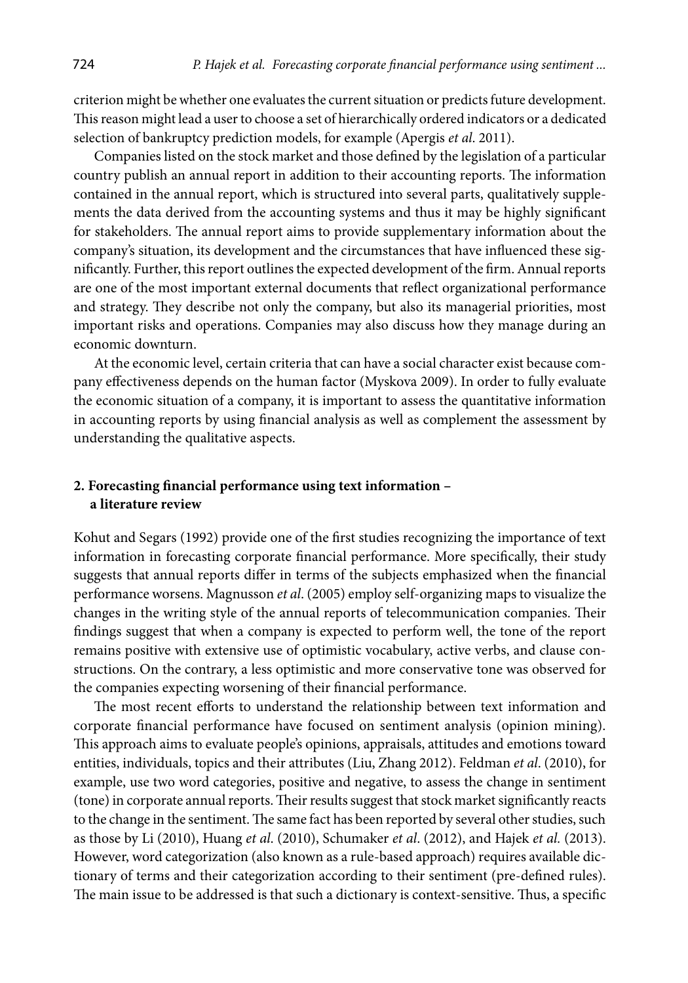criterion might be whether one evaluates the current situation or predicts future development. This reason might lead a user to choose a set of hierarchically ordered indicators or a dedicated selection of bankruptcy prediction models, for example (Apergis *et al*. 2011).

Companies listed on the stock market and those defined by the legislation of a particular country publish an annual report in addition to their accounting reports. The information contained in the annual report, which is structured into several parts, qualitatively supplements the data derived from the accounting systems and thus it may be highly significant for stakeholders. The annual report aims to provide supplementary information about the company's situation, its development and the circumstances that have influenced these significantly. Further, this report outlines the expected development of the firm. Annual reports are one of the most important external documents that reflect organizational performance and strategy. They describe not only the company, but also its managerial priorities, most important risks and operations. Companies may also discuss how they manage during an economic downturn.

At the economic level, certain criteria that can have a social character exist because company effectiveness depends on the human factor (Myskova 2009). In order to fully evaluate the economic situation of a company, it is important to assess the quantitative information in accounting reports by using financial analysis as well as complement the assessment by understanding the qualitative aspects.

## **2. Forecasting financial performance using text information – a literature review**

Kohut and Segars (1992) provide one of the first studies recognizing the importance of text information in forecasting corporate financial performance. More specifically, their study suggests that annual reports differ in terms of the subjects emphasized when the financial performance worsens. Magnusson *et al*. (2005) employ self-organizing maps to visualize the changes in the writing style of the annual reports of telecommunication companies. Their findings suggest that when a company is expected to perform well, the tone of the report remains positive with extensive use of optimistic vocabulary, active verbs, and clause constructions. On the contrary, a less optimistic and more conservative tone was observed for the companies expecting worsening of their financial performance.

The most recent efforts to understand the relationship between text information and corporate financial performance have focused on sentiment analysis (opinion mining). This approach aims to evaluate people's opinions, appraisals, attitudes and emotions toward entities, individuals, topics and their attributes (Liu, Zhang 2012). Feldman *et al*. (2010), for example, use two word categories, positive and negative, to assess the change in sentiment (tone) in corporate annual reports. Their results suggest that stock market significantly reacts to the change in the sentiment. The same fact has been reported by several other studies, such as those by Li (2010), Huang *et al*. (2010), Schumaker *et al*. (2012), and Hajek *et al.* (2013). However, word categorization (also known as a rule-based approach) requires available dictionary of terms and their categorization according to their sentiment (pre-defined rules). The main issue to be addressed is that such a dictionary is context-sensitive. Thus, a specific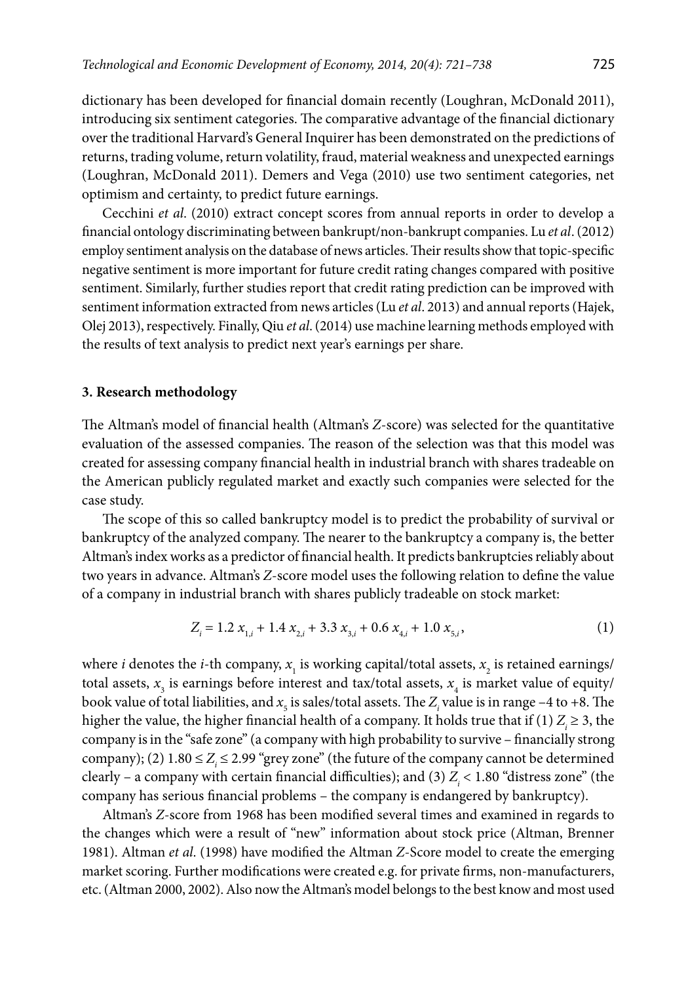dictionary has been developed for financial domain recently (Loughran, McDonald 2011), introducing six sentiment categories. The comparative advantage of the financial dictionary over the traditional Harvard's General Inquirer has been demonstrated on the predictions of returns, trading volume, return volatility, fraud, material weakness and unexpected earnings (Loughran, McDonald 2011). Demers and Vega (2010) use two sentiment categories, net optimism and certainty, to predict future earnings.

Cecchini *et al*. (2010) extract concept scores from annual reports in order to develop a financial ontology discriminating between bankrupt/non-bankrupt companies. Lu *et al*. (2012) employ sentiment analysis on the database of news articles. Their results show that topic-specific negative sentiment is more important for future credit rating changes compared with positive sentiment. Similarly, further studies report that credit rating prediction can be improved with sentiment information extracted from news articles (Lu *et al*. 2013) and annual reports (Hajek, Olej 2013), respectively. Finally, Qiu *et al*. (2014) use machine learning methods employed with the results of text analysis to predict next year's earnings per share.

#### **3. Research methodology**

The Altman's model of financial health (Altman's *Z*-score) was selected for the quantitative evaluation of the assessed companies. The reason of the selection was that this model was created for assessing company financial health in industrial branch with shares tradeable on the American publicly regulated market and exactly such companies were selected for the case study.

The scope of this so called bankruptcy model is to predict the probability of survival or bankruptcy of the analyzed company. The nearer to the bankruptcy a company is, the better Altman's index works as a predictor of financial health. It predicts bankruptcies reliably about two years in advance. Altman's *Z*-score model uses the following relation to define the value of a company in industrial branch with shares publicly tradeable on stock market:

$$
Z_i = 1.2 x_{1,i} + 1.4 x_{2,i} + 3.3 x_{3,i} + 0.6 x_{4,i} + 1.0 x_{5,i},
$$
 (1)

where *i* denotes the *i*-th company,  $x_{1}$  is working capital/total assets,  $x_{2}$  is retained earnings/ total assets,  $x_{\overline{\text{3}}}$  is earnings before interest and tax/total assets,  $x_{\overline{\text{4}}}$  is market value of equity/ book value of total liabilities, and  $x_{\overline{5}}$  is sales/total assets. The  $Z_{\overline{i}}$  value is in range –4 to +8. The higher the value, the higher financial health of a company. It holds true that if  $(1) Z_i \geq 3$ , the company is in the "safe zone" (a company with high probability to survive – financially strong company); (2)  $1.80 \le Z_i \le 2.99$  "grey zone" (the future of the company cannot be determined clearly – a company with certain financial difficulties); and (3)  $Z_i$  < 1.80 "distress zone" (the company has serious financial problems – the company is endangered by bankruptcy).

Altman's *Z*-score from 1968 has been modified several times and examined in regards to the changes which were a result of "new" information about stock price (Altman, Brenner 1981). Altman *et al*. (1998) have modified the Altman *Z*-Score model to create the emerging market scoring. Further modifications were created e.g. for private firms, non-manufacturers, etc. (Altman 2000, 2002). Also now the Altman's model belongs to the best know and most used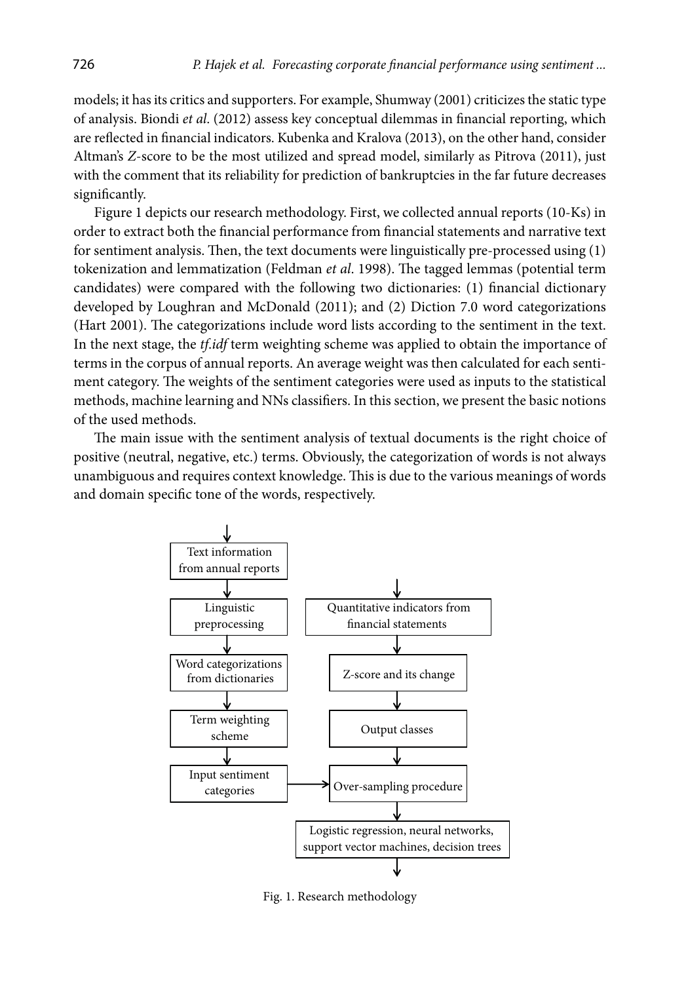models; it has its critics and supporters. For example, Shumway (2001) criticizes the static type of analysis. Biondi *et al*. (2012) assess key conceptual dilemmas in financial reporting, which are reflected in financial indicators. Kubenka and Kralova (2013), on the other hand, consider Altman's *Z*-score to be the most utilized and spread model, similarly as Pitrova (2011), just with the comment that its reliability for prediction of bankruptcies in the far future decreases significantly.

Figure 1 depicts our research methodology. First, we collected annual reports (10-Ks) in order to extract both the financial performance from financial statements and narrative text for sentiment analysis. Then, the text documents were linguistically pre-processed using (1) tokenization and lemmatization (Feldman *et al*. 1998). The tagged lemmas (potential term candidates) were compared with the following two dictionaries: (1) financial dictionary developed by Loughran and McDonald (2011); and (2) Diction 7.0 word categorizations (Hart 2001). The categorizations include word lists according to the sentiment in the text. In the next stage, the *tf*.*idf* term weighting scheme was applied to obtain the importance of terms in the corpus of annual reports. An average weight was then calculated for each sentiment category. The weights of the sentiment categories were used as inputs to the statistical methods, machine learning and NNs classifiers. In this section, we present the basic notions of the used methods.

The main issue with the sentiment analysis of textual documents is the right choice of positive (neutral, negative, etc.) terms. Obviously, the categorization of words is not always unambiguous and requires context knowledge. This is due to the various meanings of words and domain specific tone of the words, respectively.



Fig. 1. Research methodology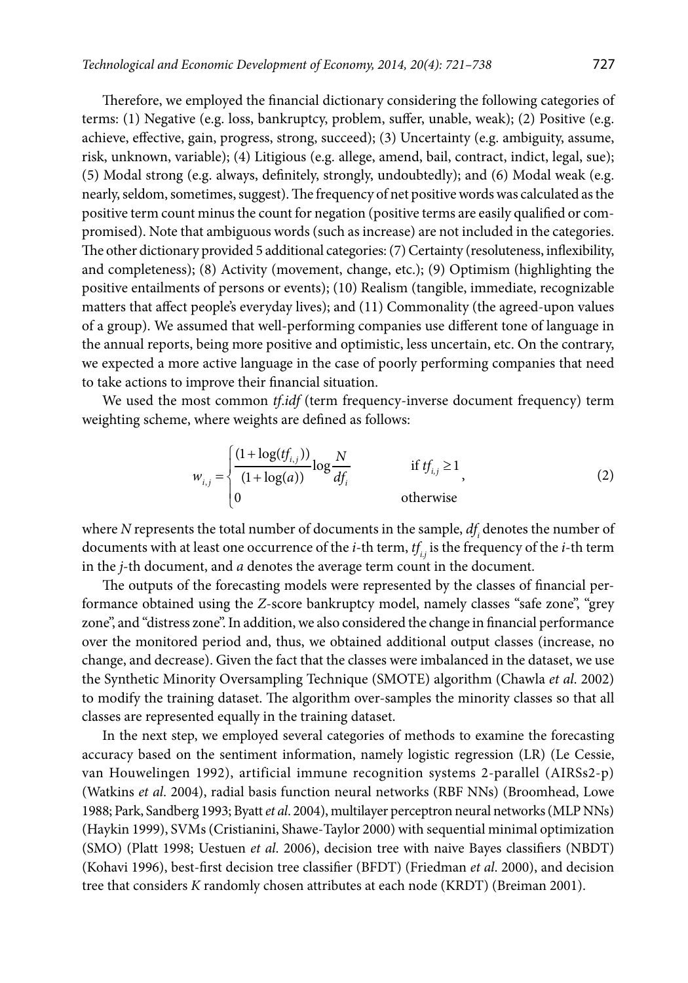Therefore, we employed the financial dictionary considering the following categories of terms: (1) Negative (e.g. loss, bankruptcy, problem, suffer, unable, weak); (2) Positive (e.g. achieve, effective, gain, progress, strong, succeed); (3) Uncertainty (e.g. ambiguity, assume, risk, unknown, variable); (4) Litigious (e.g. allege, amend, bail, contract, indict, legal, sue); (5) Modal strong (e.g. always, definitely, strongly, undoubtedly); and (6) Modal weak (e.g. nearly, seldom, sometimes, suggest). The frequency of net positive words was calculated as the positive term count minus the count for negation (positive terms are easily qualified or compromised). Note that ambiguous words (such as increase) are not included in the categories. The other dictionary provided 5 additional categories: (7) Certainty (resoluteness, inflexibility, and completeness); (8) Activity (movement, change, etc.); (9) Optimism (highlighting the positive entailments of persons or events); (10) Realism (tangible, immediate, recognizable matters that affect people's everyday lives); and (11) Commonality (the agreed-upon values of a group). We assumed that well-performing companies use different tone of language in the annual reports, being more positive and optimistic, less uncertain, etc. On the contrary, we expected a more active language in the case of poorly performing companies that need to take actions to improve their financial situation.

We used the most common *tf*.*idf* (term frequency-inverse document frequency) term weighting scheme, where weights are defined as follows:

$$
w_{i,j} = \begin{cases} \frac{(1 + \log(tf_{i,j}))}{(1 + \log(a))} \log \frac{N}{df_i} & \text{if } tf_{i,j} \ge 1\\ 0 & \text{otherwise} \end{cases}
$$
 (2)

where  $N$  represents the total number of documents in the sample,  $df_i$  denotes the number of documents with at least one occurrence of the *i*-th term, *tfi*.*<sup>j</sup>* is the frequency of the *i*-th term in the *j*-th document, and *a* denotes the average term count in the document.

The outputs of the forecasting models were represented by the classes of financial performance obtained using the *Z*-score bankruptcy model, namely classes "safe zone", "grey zone", and "distress zone". In addition, we also considered the change in financial performance over the monitored period and, thus, we obtained additional output classes (increase, no change, and decrease). Given the fact that the classes were imbalanced in the dataset, we use the Synthetic Minority Oversampling Technique (SMOTE) algorithm (Chawla *et al*. 2002) to modify the training dataset. The algorithm over-samples the minority classes so that all classes are represented equally in the training dataset.

In the next step, we employed several categories of methods to examine the forecasting accuracy based on the sentiment information, namely logistic regression (LR) (Le Cessie, van Houwelingen 1992), artificial immune recognition systems 2-parallel (AIRSs2-p) (Watkins *et al*. 2004), radial basis function neural networks (RBF NNs) (Broomhead, Lowe 1988; Park, Sandberg 1993; Byatt *et al*. 2004), multilayer perceptron neural networks (MLP NNs) (Haykin 1999), SVMs (Cristianini, Shawe-Taylor 2000) with sequential minimal optimization (SMO) (Platt 1998; Uestuen *et al*. 2006), decision tree with naive Bayes classifiers (NBDT) (Kohavi 1996), best-first decision tree classifier (BFDT) (Friedman *et al*. 2000), and decision tree that considers *K* randomly chosen attributes at each node (KRDT) (Breiman 2001).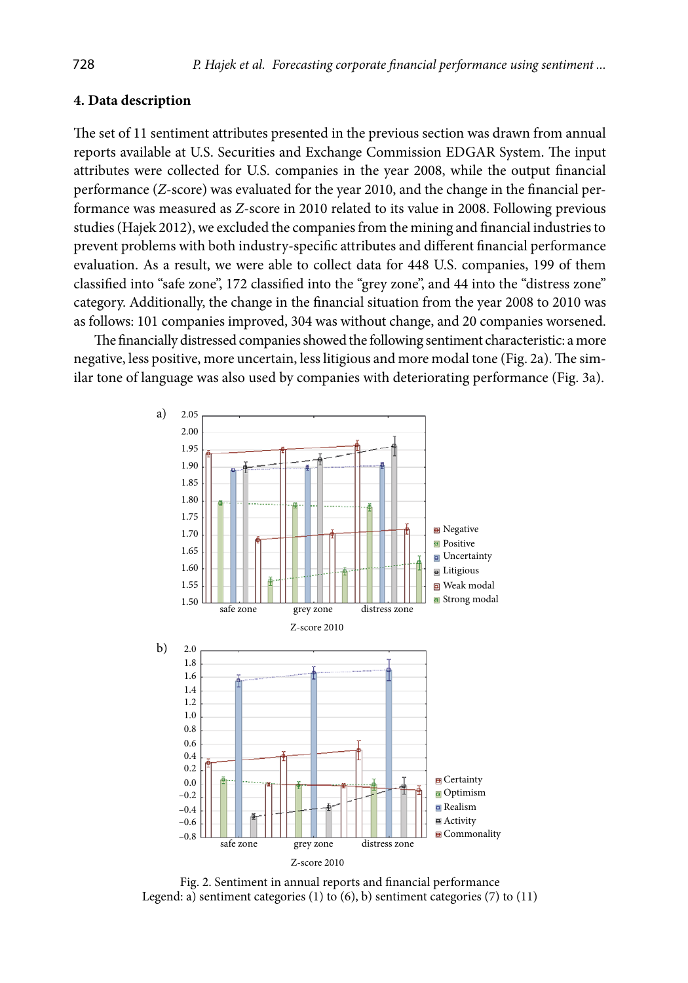## **4. Data description**

The set of 11 sentiment attributes presented in the previous section was drawn from annual reports available at U.S. Securities and Exchange Commission EDGAR System. The input attributes were collected for U.S. companies in the year 2008, while the output financial performance (*Z*-score) was evaluated for the year 2010, and the change in the financial performance was measured as *Z*-score in 2010 related to its value in 2008. Following previous studies (Hajek 2012), we excluded the companies from the mining and financial industries to prevent problems with both industry-specific attributes and different financial performance evaluation. As a result, we were able to collect data for 448 U.S. companies, 199 of them classified into "safe zone", 172 classified into the "grey zone", and 44 into the "distress zone" category. Additionally, the change in the financial situation from the year 2008 to 2010 was as follows: 101 companies improved, 304 was without change, and 20 companies worsened.

The financially distressed companies showed the following sentiment characteristic: a more negative, less positive, more uncertain, less litigious and more modal tone (Fig. 2a). The similar tone of language was also used by companies with deteriorating performance (Fig. 3a).



Fig. 2. Sentiment in annual reports and financial performance Legend: a) sentiment categories  $(1)$  to  $(6)$ , b) sentiment categories  $(7)$  to  $(11)$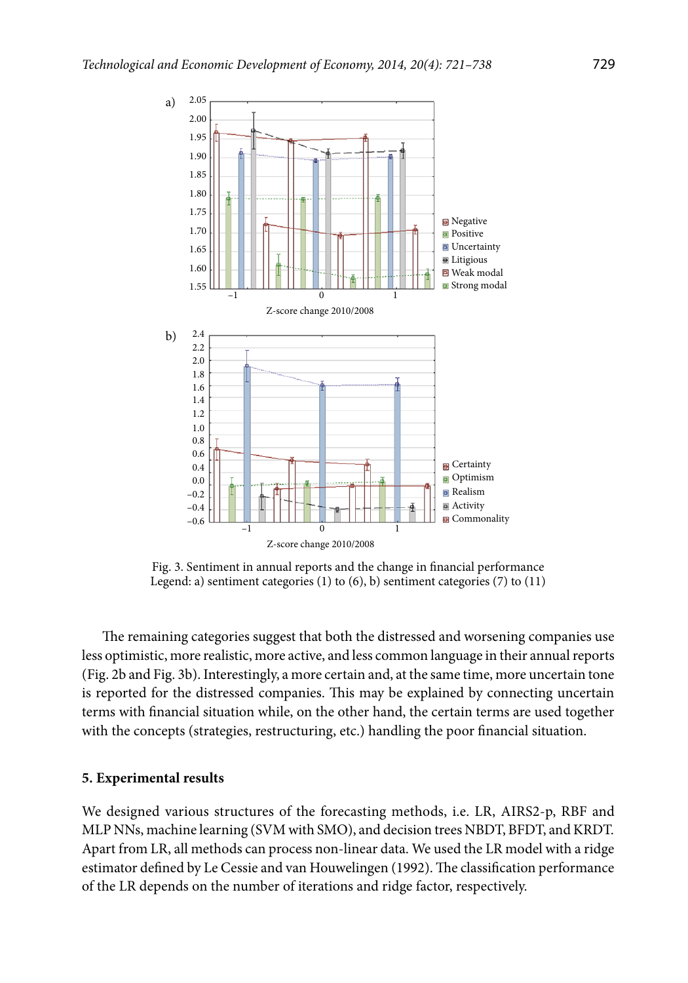

Fig. 3. Sentiment in annual reports and the change in financial performance Legend: a) sentiment categories (1) to (6), b) sentiment categories (7) to (11)

The remaining categories suggest that both the distressed and worsening companies use less optimistic, more realistic, more active, and less common language in their annual reports (Fig. 2b and Fig. 3b). Interestingly, a more certain and, at the same time, more uncertain tone is reported for the distressed companies. This may be explained by connecting uncertain terms with financial situation while, on the other hand, the certain terms are used together with the concepts (strategies, restructuring, etc.) handling the poor financial situation.

### **5. Experimental results**

We designed various structures of the forecasting methods, i.e. LR, AIRS2-p, RBF and MLP NNs, machine learning (SVM with SMO), and decision trees NBDT, BFDT, and KRDT. Apart from LR, all methods can process non-linear data. We used the LR model with a ridge estimator defined by Le Cessie and van Houwelingen (1992). The classification performance of the LR depends on the number of iterations and ridge factor, respectively.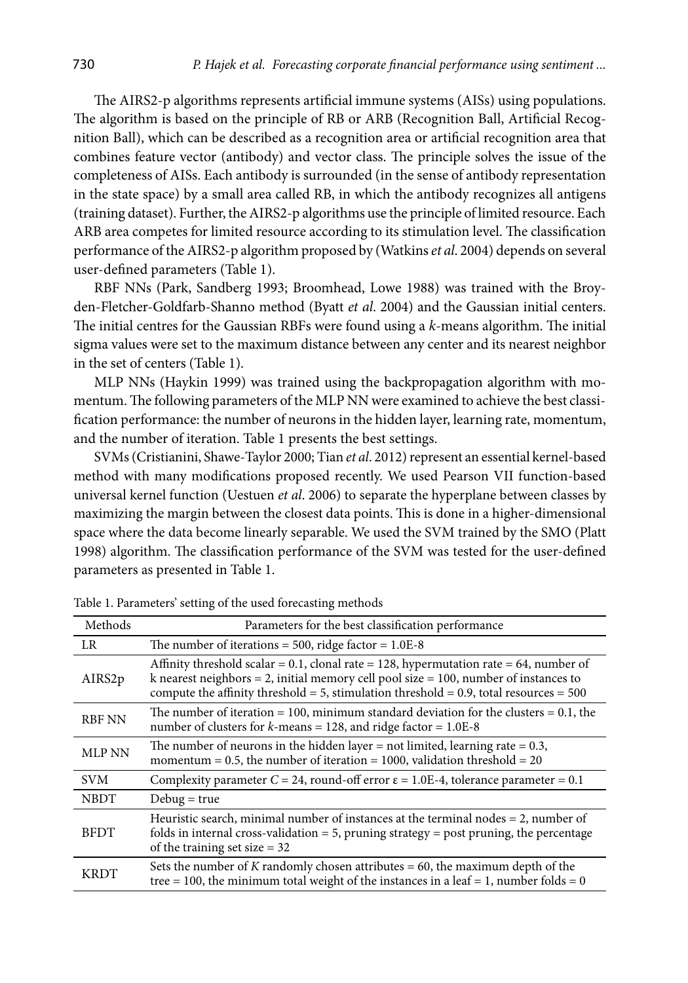The AIRS2-p algorithms represents artificial immune systems (AISs) using populations. The algorithm is based on the principle of RB or ARB (Recognition Ball, Artificial Recognition Ball), which can be described as a recognition area or artificial recognition area that combines feature vector (antibody) and vector class. The principle solves the issue of the completeness of AISs. Each antibody is surrounded (in the sense of antibody representation in the state space) by a small area called RB, in which the antibody recognizes all antigens (training dataset). Further, the AIRS2-p algorithms use the principle of limited resource. Each ARB area competes for limited resource according to its stimulation level. The classification performance of the AIRS2-p algorithm proposed by (Watkins *et al*. 2004) depends on several user-defined parameters (Table 1).

RBF NNs (Park, Sandberg 1993; Broomhead, Lowe 1988) was trained with the [Broy](http://en.wikipedia.org/wiki/Charles_George_Broyden)[den](http://en.wikipedia.org/wiki/Charles_George_Broyden)-[Fletcher](http://en.wikipedia.org/wiki/Roger_Fletcher_(mathematician))-[Goldfarb](http://www.columbia.edu/~goldfarb/)-[Shanno](http://rutcor.rutgers.edu/~shanno/) method (Byatt *et al*. 2004) and the Gaussian initial centers. The initial centres for the Gaussian RBFs were found using a *k*-means algorithm. The initial sigma values were set to the maximum distance between any center and its nearest neighbor in the set of centers (Table 1).

MLP NNs (Haykin 1999) was trained using the backpropagation algorithm with momentum. The following parameters of the MLP NN were examined to achieve the best classification performance: the number of neurons in the hidden layer, learning rate, momentum, and the number of iteration. Table 1 presents the best settings.

SVMs (Cristianini, Shawe-Taylor 2000; Tian *et al*. 2012) represent an essential kernel-based method with many modifications proposed recently. We used Pearson VII function-based universal kernel function (Uestuen *et al*. 2006) to separate the hyperplane between classes by maximizing the margin between the closest data points. This is done in a higher-dimensional space where the data become linearly separable. We used the SVM trained by the SMO (Platt 1998) algorithm. The classification performance of the SVM was tested for the user-defined parameters as presented in Table 1.

| Methods            | Parameters for the best classification performance                                                                                                                                                                                                                            |
|--------------------|-------------------------------------------------------------------------------------------------------------------------------------------------------------------------------------------------------------------------------------------------------------------------------|
| LR                 | The number of iterations = 500, ridge factor = $1.0E-8$                                                                                                                                                                                                                       |
| AIRS <sub>2p</sub> | Affinity threshold scalar = 0.1, clonal rate = 128, hypermutation rate = 64, number of<br>k nearest neighbors = 2, initial memory cell pool size = 100, number of instances to<br>compute the affinity threshold = 5, stimulation threshold = $0.9$ , total resources = $500$ |
| <b>RBF NN</b>      | The number of iteration $= 100$ , minimum standard deviation for the clusters $= 0.1$ , the<br>number of clusters for k-means = 128, and ridge factor = $1.0E-8$                                                                                                              |
| <b>MLP NN</b>      | The number of neurons in the hidden layer = not limited, learning rate = $0.3$ ,<br>momentum = 0.5, the number of iteration = 1000, validation threshold = $20$                                                                                                               |
| <b>SVM</b>         | Complexity parameter $C = 24$ , round-off error $\varepsilon = 1.0E-4$ , tolerance parameter = 0.1                                                                                                                                                                            |
| <b>NBDT</b>        | $Debug = true$                                                                                                                                                                                                                                                                |
| <b>BFDT</b>        | Heuristic search, minimal number of instances at the terminal nodes $= 2$ , number of<br>folds in internal cross-validation $=$ 5, pruning strategy $=$ post pruning, the percentage<br>of the training set size $=$ 32                                                       |
| KRDT               | Sets the number of K randomly chosen attributes $= 60$ , the maximum depth of the<br>tree = 100, the minimum total weight of the instances in a leaf = 1, number folds = 0                                                                                                    |

Table 1. Parameters' setting of the used forecasting methods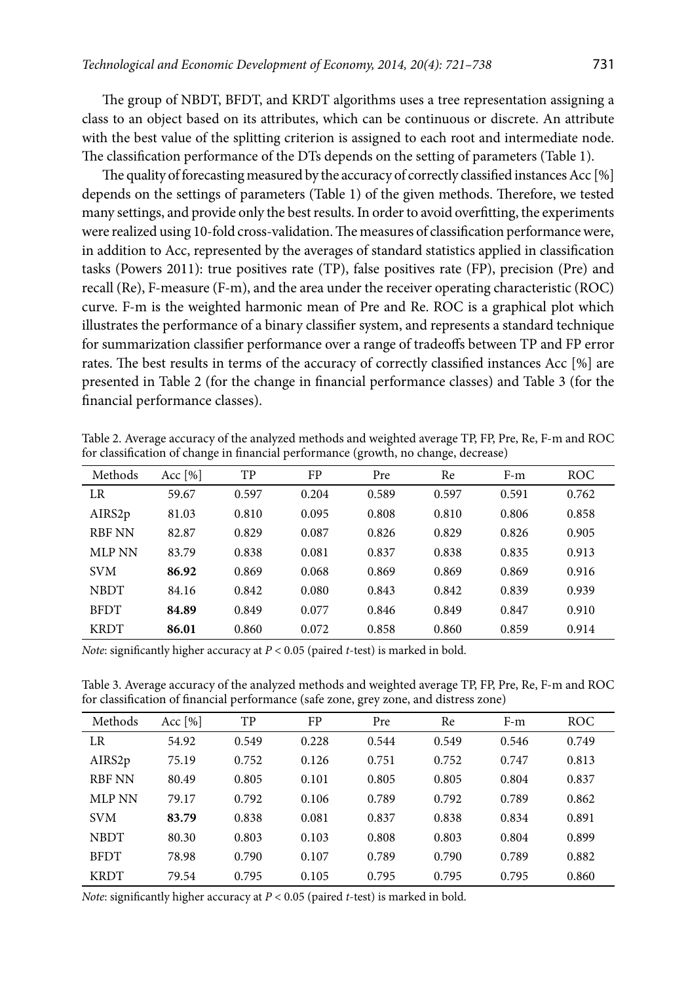The group of NBDT, BFDT, and KRDT algorithms uses a tree representation assigning a class to an object based on its attributes, which can be continuous or discrete. An attribute with the best value of the splitting criterion is assigned to each root and intermediate node. The classification performance of the DTs depends on the setting of parameters (Table 1).

The quality of forecasting measured by the accuracy of correctly classified instances Acc [%] depends on the settings of parameters (Table 1) of the given methods. Therefore, we tested many settings, and provide only the best results. In order to avoid overfitting, the experiments were realized using 10-fold cross-validation. The measures of classification performance were, in addition to Acc, represented by the averages of standard statistics applied in classification tasks (Powers 2011): true positives rate (TP), false positives rate (FP), precision (Pre) and recall (Re), F-measure (F-m), and the area under the receiver operating characteristic (ROC) curve. F-m is the weighted harmonic mean of Pre and Re. ROC is a graphical plot which illustrates the performance of a binary classifier system, and represents a standard technique for summarization classifier performance over a range of tradeoffs between TP and FP error rates. The best results in terms of the accuracy of correctly classified instances Acc [%] are presented in Table 2 (for the change in financial performance classes) and Table 3 (for the financial performance classes).

| Methods            | Acc $[%]$ | TР    | FP    | Pre   | Re    | $F-m$ | <b>ROC</b> |
|--------------------|-----------|-------|-------|-------|-------|-------|------------|
| LR                 | 59.67     | 0.597 | 0.204 | 0.589 | 0.597 | 0.591 | 0.762      |
| AIRS <sub>2p</sub> | 81.03     | 0.810 | 0.095 | 0.808 | 0.810 | 0.806 | 0.858      |
| <b>RBF NN</b>      | 82.87     | 0.829 | 0.087 | 0.826 | 0.829 | 0.826 | 0.905      |
| <b>MLP NN</b>      | 83.79     | 0.838 | 0.081 | 0.837 | 0.838 | 0.835 | 0.913      |
| <b>SVM</b>         | 86.92     | 0.869 | 0.068 | 0.869 | 0.869 | 0.869 | 0.916      |
| <b>NBDT</b>        | 84.16     | 0.842 | 0.080 | 0.843 | 0.842 | 0.839 | 0.939      |
| <b>BFDT</b>        | 84.89     | 0.849 | 0.077 | 0.846 | 0.849 | 0.847 | 0.910      |
| <b>KRDT</b>        | 86.01     | 0.860 | 0.072 | 0.858 | 0.860 | 0.859 | 0.914      |

Table 2. Average accuracy of the analyzed methods and weighted average TP, FP, Pre, Re, F-m and ROC for classification of change in financial performance (growth, no change, decrease)

*Note*: significantly higher accuracy at *P* < 0.05 (paired *t*-test) is marked in bold.

Table 3. Average accuracy of the analyzed methods and weighted average TP, FP, Pre, Re, F-m and ROC for classification of financial performance (safe zone, grey zone, and distress zone)

| Methods            | Acc $[%]$ | TP    | FP    | Pre   | Re    | $F-m$ | <b>ROC</b> |
|--------------------|-----------|-------|-------|-------|-------|-------|------------|
| LR                 | 54.92     | 0.549 | 0.228 | 0.544 | 0.549 | 0.546 | 0.749      |
| AIRS <sub>2p</sub> | 75.19     | 0.752 | 0.126 | 0.751 | 0.752 | 0.747 | 0.813      |
| <b>RBF NN</b>      | 80.49     | 0.805 | 0.101 | 0.805 | 0.805 | 0.804 | 0.837      |
| <b>MLP NN</b>      | 79.17     | 0.792 | 0.106 | 0.789 | 0.792 | 0.789 | 0.862      |
| <b>SVM</b>         | 83.79     | 0.838 | 0.081 | 0.837 | 0.838 | 0.834 | 0.891      |
| <b>NBDT</b>        | 80.30     | 0.803 | 0.103 | 0.808 | 0.803 | 0.804 | 0.899      |
| <b>BFDT</b>        | 78.98     | 0.790 | 0.107 | 0.789 | 0.790 | 0.789 | 0.882      |
| <b>KRDT</b>        | 79.54     | 0.795 | 0.105 | 0.795 | 0.795 | 0.795 | 0.860      |

*Note*: significantly higher accuracy at *P* < 0.05 (paired *t*-test) is marked in bold.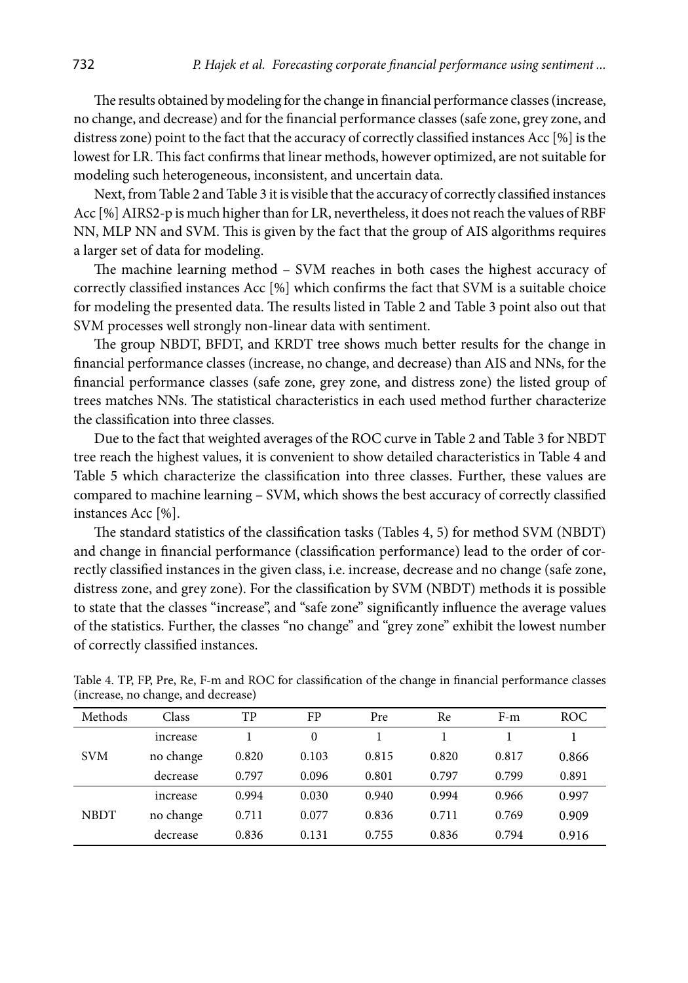The results obtained by modeling for the change in financial performance classes (increase, no change, and decrease) and for the financial performance classes (safe zone, grey zone, and distress zone) point to the fact that the accuracy of correctly classified instances Acc [%] is the lowest for LR. This fact confirms that linear methods, however optimized, are not suitable for modeling such heterogeneous, inconsistent, and uncertain data.

Next, from Table 2 and Table 3 it is visible that the accuracy of correctly classified instances Acc [%] AIRS2-p is much higher than for LR, nevertheless, it does not reach the values of RBF NN, MLP NN and SVM. This is given by the fact that the group of AIS algorithms requires a larger set of data for modeling.

The machine learning method – SVM reaches in both cases the highest accuracy of correctly classified instances Acc [%] which confirms the fact that SVM is a suitable choice for modeling the presented data. The results listed in Table 2 and Table 3 point also out that SVM processes well strongly non-linear data with sentiment.

The group NBDT, BFDT, and KRDT tree shows much better results for the change in financial performance classes (increase, no change, and decrease) than AIS and NNs, for the financial performance classes (safe zone, grey zone, and distress zone) the listed group of trees matches NNs. The statistical characteristics in each used method further characterize the classification into three classes.

Due to the fact that weighted averages of the ROC curve in Table 2 and Table 3 for NBDT tree reach the highest values, it is convenient to show detailed characteristics in Table 4 and Table 5 which characterize the classification into three classes. Further, these values are compared to machine learning – SVM, which shows the best accuracy of correctly classified instances Acc [%].

The standard statistics of the classification tasks (Tables 4, 5) for method SVM (NBDT) and change in financial performance (classification performance) lead to the order of correctly classified instances in the given class, i.e. increase, decrease and no change (safe zone, distress zone, and grey zone). For the classification by SVM (NBDT) methods it is possible to state that the classes "increase", and "safe zone" significantly influence the average values of the statistics. Further, the classes "no change" and "grey zone" exhibit the lowest number of correctly classified instances.

| Methods     | Class     | TP    | FP       | Pre   | Re    | $F-m$ | <b>ROC</b> |
|-------------|-----------|-------|----------|-------|-------|-------|------------|
| <b>SVM</b>  | increase  |       | $\Omega$ |       |       |       |            |
|             | no change | 0.820 | 0.103    | 0.815 | 0.820 | 0.817 | 0.866      |
|             | decrease  | 0.797 | 0.096    | 0.801 | 0.797 | 0.799 | 0.891      |
| <b>NBDT</b> | increase  | 0.994 | 0.030    | 0.940 | 0.994 | 0.966 | 0.997      |
|             | no change | 0.711 | 0.077    | 0.836 | 0.711 | 0.769 | 0.909      |
|             | decrease  | 0.836 | 0.131    | 0.755 | 0.836 | 0.794 | 0.916      |

Table 4. TP, FP, Pre, Re, F-m and ROC for classification of the change in financial performance classes (increase, no change, and decrease)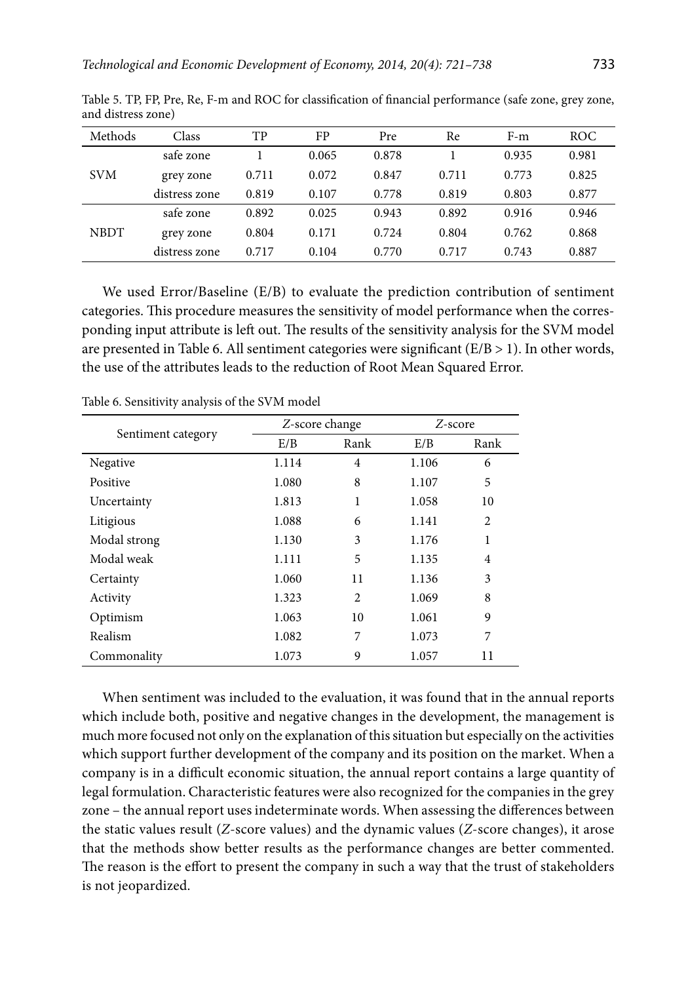| Methods     | Class         | TР    | FP    | Pre   | Re    | $F-m$ | ROC.  |
|-------------|---------------|-------|-------|-------|-------|-------|-------|
| <b>SVM</b>  | safe zone     |       | 0.065 | 0.878 |       | 0.935 | 0.981 |
|             | grey zone     | 0.711 | 0.072 | 0.847 | 0.711 | 0.773 | 0.825 |
|             | distress zone | 0.819 | 0.107 | 0.778 | 0.819 | 0.803 | 0.877 |
| <b>NBDT</b> | safe zone     | 0.892 | 0.025 | 0.943 | 0.892 | 0.916 | 0.946 |
|             | grey zone     | 0.804 | 0.171 | 0.724 | 0.804 | 0.762 | 0.868 |
|             | distress zone | 0.717 | 0.104 | 0.770 | 0.717 | 0.743 | 0.887 |

Table 5. TP, FP, Pre, Re, F-m and ROC for classification of financial performance (safe zone, grey zone, and distress zone)

We used Error/Baseline (E/B) to evaluate the prediction contribution of sentiment categories. This procedure measures the sensitivity of model performance when the corresponding input attribute is left out. The results of the sensitivity analysis for the SVM model are presented in Table 6. All sentiment categories were significant  $(E/B > 1)$ . In other words, the use of the attributes leads to the reduction of Root Mean Squared Error.

|                    | Z-score change |                | Z-score |                |  |
|--------------------|----------------|----------------|---------|----------------|--|
| Sentiment category | E/B            | Rank           | E/B     | Rank           |  |
| Negative           | 1.114          | 4              | 1.106   | 6              |  |
| Positive           | 1.080          | 8              | 1.107   | 5              |  |
| Uncertainty        | 1.813          | 1              | 1.058   | 10             |  |
| Litigious          | 1.088          | 6              | 1.141   | $\overline{c}$ |  |
| Modal strong       | 1.130          | 3              | 1.176   | 1              |  |
| Modal weak         | 1.111          | 5              | 1.135   | 4              |  |
| Certainty          | 1.060          | 11             | 1.136   | 3              |  |
| Activity           | 1.323          | $\overline{c}$ | 1.069   | 8              |  |
| Optimism           | 1.063          | 10             | 1.061   | 9              |  |
| Realism            | 1.082          | 7              | 1.073   | 7              |  |
| Commonality        | 1.073          | 9              | 1.057   | 11             |  |

Table 6. Sensitivity analysis of the SVM model

When sentiment was included to the evaluation, it was found that in the annual reports which include both, positive and negative changes in the development, the management is much more focused not only on the explanation of this situation but especially on the activities which support further development of the company and its position on the market. When a company is in a difficult economic situation, the annual report contains a large quantity of legal formulation. Characteristic features were also recognized for the companies in the grey zone – the annual report uses indeterminate words. When assessing the differences between the static values result (*Z*-score values) and the dynamic values (*Z*-score changes), it arose that the methods show better results as the performance changes are better commented. The reason is the effort to present the company in such a way that the trust of stakeholders is not jeopardized.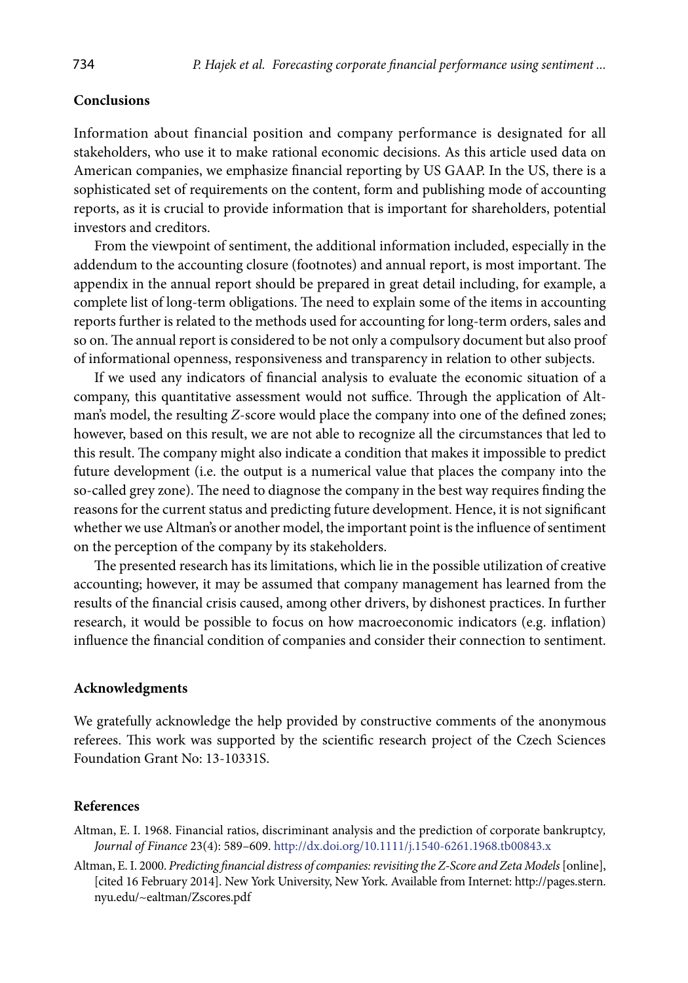### **Conclusions**

Information about financial position and company performance is designated for all stakeholders, who use it to make rational economic decisions. As this article used data on American companies, we emphasize financial reporting by US GAAP. In the US, there is a sophisticated set of requirements on the content, form and publishing mode of accounting reports, as it is crucial to provide information that is important for shareholders, potential investors and creditors.

From the viewpoint of sentiment, the additional information included, especially in the addendum to the accounting closure (footnotes) and annual report, is most important. The appendix in the annual report should be prepared in great detail including, for example, a complete list of long-term obligations. The need to explain some of the items in accounting reports further is related to the methods used for accounting for long-term orders, sales and so on. The annual report is considered to be not only a compulsory document but also proof of informational openness, responsiveness and transparency in relation to other subjects.

If we used any indicators of financial analysis to evaluate the economic situation of a company, this quantitative assessment would not suffice. Through the application of Altman's model, the resulting *Z*-score would place the company into one of the defined zones; however, based on this result, we are not able to recognize all the circumstances that led to this result. The company might also indicate a condition that makes it impossible to predict future development (i.e. the output is a numerical value that places the company into the so-called grey zone). The need to diagnose the company in the best way requires finding the reasons for the current status and predicting future development. Hence, it is not significant whether we use Altman's or another model, the important point is the influence of sentiment on the perception of the company by its stakeholders.

The presented research has its limitations, which lie in the possible utilization of creative accounting; however, it may be assumed that company management has learned from the results of the financial crisis caused, among other drivers, by dishonest practices. In further research, it would be possible to focus on how macroeconomic indicators (e.g. inflation) influence the financial condition of companies and consider their connection to sentiment.

### **Acknowledgments**

We gratefully acknowledge the help provided by constructive comments of the anonymous referees. This work was supported by the scientific research project of the Czech Sciences Foundation Grant No: 13-10331S.

#### **References**

Altman, E. I. 1968. Financial ratios, discriminant analysis and the prediction of corporate bankruptcy*, Journal of Finance* 23(4): 589–609. <http://dx.doi.org/10.1111/j.1540-6261.1968.tb00843.x>

Altman, E. I. 2000. *Predicting financial distress of companies: revisiting the Z-Score and Zeta Models* [online], [cited 16 February 2014]. New York University, New York. Available from Internet: [http://pages.stern.](http://pages.stern.nyu.edu/~ealtman/Zscores.pdf) [nyu.edu/~ealtman/Zscores.pdf](http://pages.stern.nyu.edu/~ealtman/Zscores.pdf)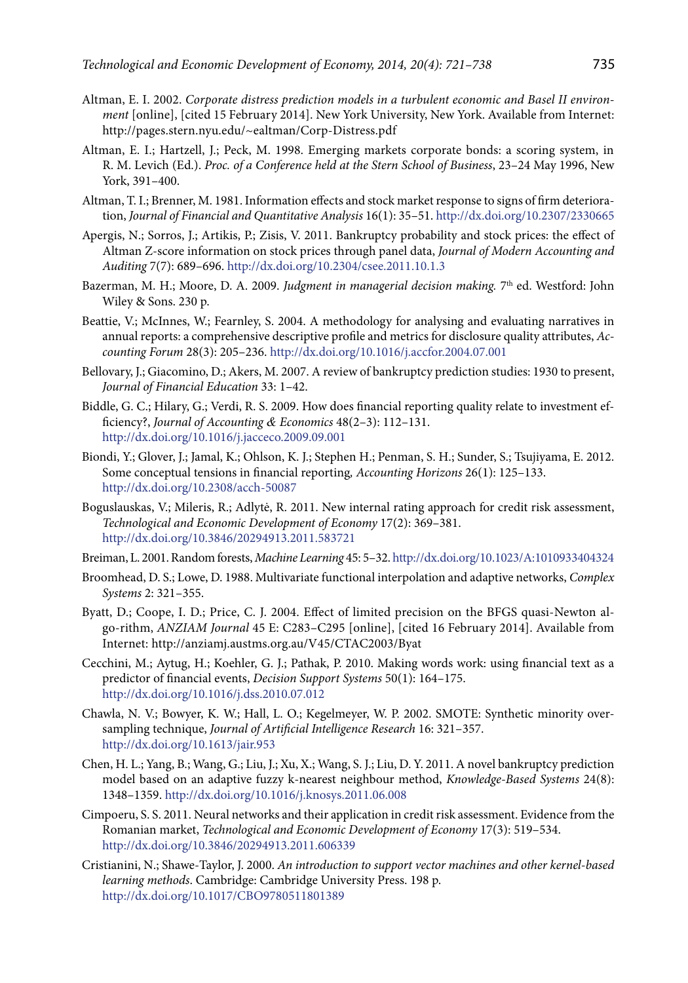- Altman, E. I. 2002. *Corporate distress prediction models in a turbulent economic and Basel II environment* [online], [cited 15 February 2014]. New York University, New York. Available from Internet: <http://pages.stern.nyu.edu/~ealtman/Corp-Distress.pdf>
- Altman, E. I.; Hartzell, J.; Peck, M. 1998. Emerging markets corporate bonds: a scoring system, in R. M. Levich (Ed.). *Proc. of a Conference held at the Stern School of Business*, 23–24 May 1996, New York, 391–400.
- Altman, T. I.; Brenner, M. 1981. Information effects and stock market response to signs of firm deterioration, *Journal of Financial and Quantitative Analysis* 16(1): 35–51.<http://dx.doi.org/10.2307/2330665>
- Apergis, N.; Sorros, J.; Artikis, P.; Zisis, V. 2011. Bankruptcy probability and stock prices: the effect of Altman Z-score information on stock prices through panel data, *Journal of Modern Accounting and Auditing* 7(7): 689–696.<http://dx.doi.org/10.2304/csee.2011.10.1.3>
- Bazerman, M. H.; Moore, D. A. 2009. *Judgment in managerial decision making.* 7th ed. Westford: John Wiley & Sons. 230 p.
- Beattie, V.; McInnes, W.; Fearnley, S. 2004. A methodology for analysing and evaluating narratives in annual reports: a comprehensive descriptive profile and metrics for disclosure quality attributes, *Accounting Forum* 28(3): 205–236. http://dx.[doi.org/10.1016/j.accfor.2004.07.001](http://dx.doi.org/10.1016/j.accfor.2004.07.001)
- Bellovary, J.; Giacomino, D.; Akers, M. 2007. A review of bankruptcy prediction studies: 1930 to present, *Journal of Financial Education* 33: 1–42.
- Biddle, G. C.; Hilary, G.; Verdi, R. S. 2009. How does financial reporting quality relate to investment efficiency?, *Journal of Accounting & Economics* 48(2–3): 112–131. <http://dx.doi.org/10.1016/j.jacceco.2009.09.001>
- Biondi, Y.; Glover, J.; Jamal, K.; Ohlson, K. J.; Stephen H.; Penman, S. H.; Sunder, S.; Tsujiyama, E. 2012. Some conceptual tensions in financial reporting*, Accounting Horizons* 26(1): 125–133. http://dx.[doi.org/10.2308/acch-50087](http://dx.doi.org/10.2308/acch-50087)
- Boguslauskas, V.; Mileris, R.; Adlytė, R. 2011. New internal rating approach for credit risk assessment, *Technological and Economic Development of Economy* 17(2): 369–381. <http://dx.doi.org/10.3846/20294913.2011.583721>
- Breiman, L. 2001. Random forests, *Machine Learning* 45: 5–32.<http://dx.doi.org/10.1023/A:1010933404324>
- Broomhead, D. S.; Lowe, D. 1988. Multivariate functional interpolation and adaptive networks, *Complex Systems* 2: 321–355.
- Byatt, D.; Coope, I. D.; Price, C. J. 2004. Effect of limited precision on the BFGS quasi-Newton algo-rithm, *ANZIAM Journal* 45 E: C283–C295 [online], [cited 16 February 2014]. Available from Internet: <http://anziamj.austms.org.au/V45/CTAC2003/Byat>
- Cecchini, M.; Aytug, H.; Koehler, G. J.; Pathak, P. 2010. Making words work: using financial text as a predictor of financial events, *Decision Support Systems* 50(1): 164–175. <http://dx.doi.org/10.1016/j.dss.2010.07.012>
- Chawla, N. V.; Bowyer, K. W.; Hall, L. O.; Kegelmeyer, W. P. 2002. SMOTE: Synthetic minority oversampling technique, *Journal of Artificial Intelligence Research* 16: 321–357. http://dx.[doi.org/10.1613/jair.953](http://dx.doi.org/10.1613/jair.953)
- Chen, H. L.; Yang, B.; Wang, G.; Liu, J.; Xu, X.; Wang, S. J.; Liu, D. Y. 2011. A novel bankruptcy prediction model based on an adaptive fuzzy k-nearest neighbour method, *Knowledge-Based Systems* 24(8): 1348–1359. <http://dx.doi.org/10.1016/j.knosys.2011.06.008>
- Cimpoeru, S. S. 2011. Neural networks and their application in credit risk assessment. Evidence from the Romanian market, *Technological and Economic Development of Economy* 17(3): 519–534. <http://dx.doi.org/10.3846/20294913.2011.606339>
- Cristianini, N.; Shawe-Taylor, J. 2000. *An introduction to support vector machines and other kernel-based learning methods*. Cambridge: Cambridge University Press. 198 p. <http://dx.doi.org/10.1017/CBO9780511801389>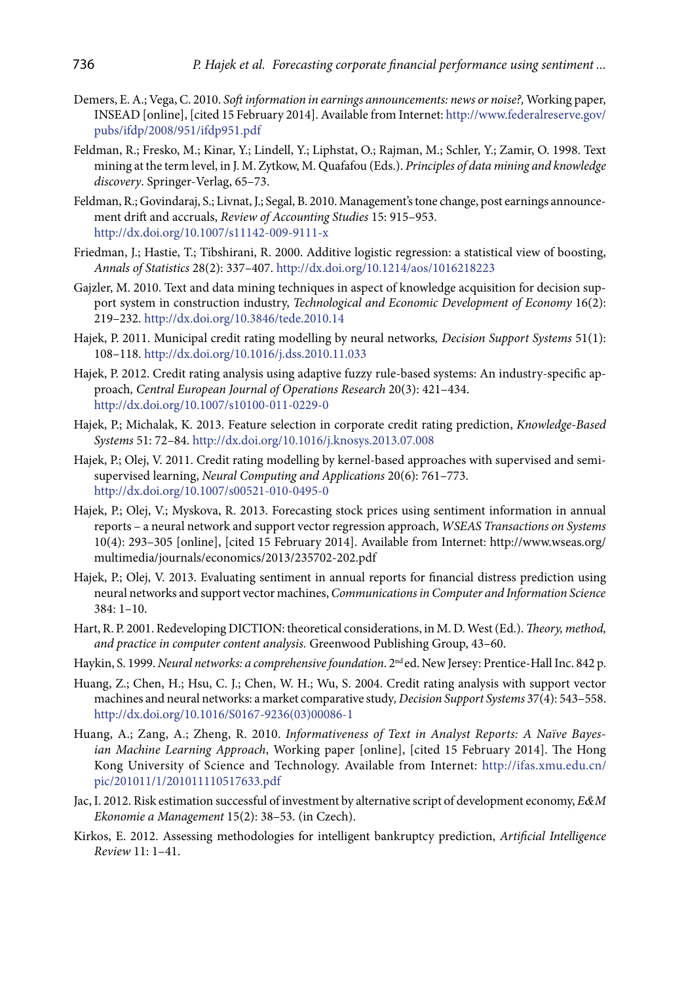- Demers, E. A.; Vega, C. 2010. *Soft information in earnings announcements: news or noise?,* Working paper, INSEAD [online], [cited 15 February 2014]. Available from Internet: [http://www.federalreserve.gov/](http://www.federalreserve.gov/pubs/ifdp/2008/951/ifdp951.pdf) [pubs/ifdp/2008/951/ifdp951.pdf](http://www.federalreserve.gov/pubs/ifdp/2008/951/ifdp951.pdf)
- Feldman, R.; Fresko, M.; Kinar, Y.; Lindell, Y.; Liphstat, O.; Rajman, M.; Schler, Y.; Zamir, O. 1998. Text mining at the term level, in J. M. Zytkow, M. Quafafou (Eds.). *Principles of data mining and knowledge discovery*. Springer-Verlag, 65–73.
- Feldman, R.; Govindaraj, S.; Livnat, J.; Segal, B. 2010. Management's tone change, post earnings announcement drift and accruals, *Review of Accounting Studies* 15: 915–953. <http://dx.doi.org/10.1007/s11142-009-9111-x>
- Friedman, J.; Hastie, T.; Tibshirani, R. 2000. Additive logistic regression: a statistical view of boosting, *Annals of Statistics* 28(2): 337–407.<http://dx.doi.org/10.1214/aos/1016218223>
- Gajzler, M. 2010. Text and data mining techniques in aspect of knowledge acquisition for decision support system in construction industry, *Technological and Economic Development of Economy* 16(2): 219–232. <http://dx.doi.org/10.3846/tede.2010.14>
- Hajek, P. 2011. Municipal credit rating modelling by neural networks*, Decision Support Systems* 51(1): 108–118. <http://dx.doi.org/10.1016/j.dss.2010.11.033>
- Hajek, P. 2012. Credit rating analysis using adaptive fuzzy rule-based systems: An industry-specific approach*, Central European Journal of Operations Research* 20(3): 421–434. <http://dx.doi.org/10.1007/s10100-011-0229-0>
- Hajek, P.; Michalak, K. 2013. Feature selection in corporate credit rating prediction, *Knowledge-Based Systems* 51: 72–84.<http://dx.doi.org/10.1016/j.knosys.2013.07.008>
- Hajek, P.; Olej, V. 2011. Credit rating modelling by kernel-based approaches with supervised and semisupervised learning, *Neural Computing and Applications* 20(6): 761–773. <http://dx.doi.org/10.1007/s00521-010-0495-0>
- Hajek, P.; Olej, V.; Myskova, R. 2013. Forecasting stock prices using sentiment information in annual reports – a neural network and support vector regression approach, *WSEAS Transactions on Systems* 10(4): 293–305 [online], [cited 15 February 2014]. Available from Internet: [http://www.wseas.org/](http://www.wseas.org/multimedia/journals/economics/2013/235702-202.pdf) [multimedia/journals/economics/2013/235702-202.pdf](http://www.wseas.org/multimedia/journals/economics/2013/235702-202.pdf)
- Hajek, P.; Olej, V. 2013. Evaluating sentiment in annual reports for financial distress prediction using neural networks and support vector machines, *Communications in Computer and Information Science* 384: 1–10.
- Hart, R. P. 2001. Redeveloping DICTION: theoretical considerations, in M. D. West (Ed.). *Theory, method, and practice in computer content analysis.* Greenwood Publishing Group, 43–60.
- Haykin, S. 1999. *Neural networks: a comprehensive foundation*. 2nd ed. New Jersey: Prentice-Hall Inc. 842 p.
- Huang, Z.; Chen, H.; Hsu, C. J.; Chen, W. H.; Wu, S. 2004. Credit rating analysis with support vector machines and neural networks: a market comparative study*, Decision Support Systems* 37(4): 543–558. [http://dx.doi.org/10.1016/S0167-9236\(03\)00086-1](http://dx.doi.org/10.1016/S0167-9236(03)00086-1)
- Huang, A.; Zang, A.; Zheng, R. 2010. *Informativeness of Text in Analyst Reports: A Naïve Bayesian Machine Learning Approach*, Working paper [online], [cited 15 February 2014]. The Hong Kong University of Science and Technology. Available from Internet: [http://ifas.xmu.edu.cn/](http://ifas.xmu.edu.cn/pic/201011/1/201011110517633.pdf) [pic/201011/1/201011110517633.pdf](http://ifas.xmu.edu.cn/pic/201011/1/201011110517633.pdf)
- Jac, I. 2012. Risk estimation successful of investment by alternative script of development economy, *E&M Ekonomie a Management* 15(2): 38–53. (in Czech).
- Kirkos, E. 2012. Assessing methodologies for intelligent bankruptcy prediction, *Artificial Intelligence Review* 11: 1–41.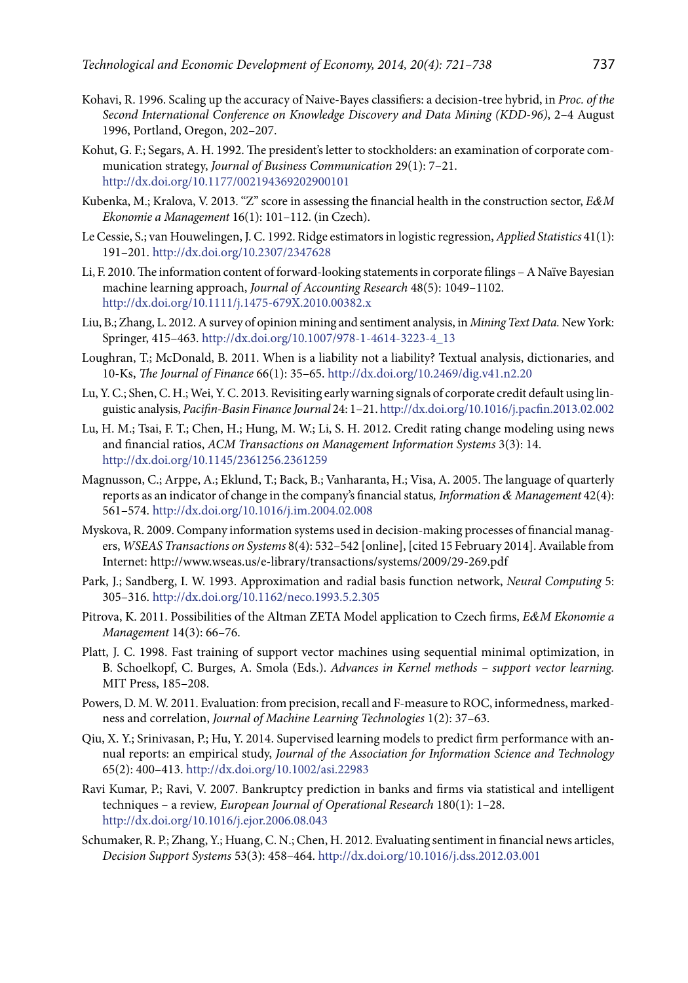- Kohavi, R. 1996. Scaling up the accuracy of Naive-Bayes classifiers: a decision-tree hybrid, in *Proc. of the Second International Conference on Knowledge Discovery and Data Mining (KDD-96)*, 2–4 August 1996, Portland, Oregon, 202–207.
- Kohut, G. F.; Segars, A. H. 1992. The president's letter to stockholders: an examination of corporate communication strategy, *Journal of Business Communication* 29(1): 7–21. <http://dx.doi.org/10.1177/002194369202900101>
- Kubenka, M.; Kralova, V. 2013. "Z" score in assessing the financial health in the construction sector, *E&M Ekonomie a Management* 16(1): 101–112. (in Czech).
- Le Cessie, S.; van Houwelingen, J. C. 1992. Ridge estimators in logistic regression, *Applied Statistics* 41(1): 191–201. <http://dx.doi.org/10.2307/2347628>
- Li, F. 2010. The information content of forward-looking statements in corporate filings A Naïve Bayesian machine learning approach, *Journal of Accounting Research* 48(5): 1049–1102. <http://dx.doi.org/10.1111/j.1475-679X.2010.00382.x>
- Liu, B.; Zhang, L. 2012. A survey of opinion mining and sentiment analysis, in *Mining Text Data.* New York: Springer, 415–463. [http://dx.doi.org/10.1007/978-1-4614-3223-4\\_13](http://dx.doi.org/10.1007/978-1-4614-3223-4_13)
- Loughran, T.; McDonald, B. 2011. When is a liability not a liability? Textual analysis, dictionaries, and 10-Ks, *The Journal of Finance* 66(1): 35–65. <http://dx.doi.org/10.2469/dig.v41.n2.20>
- Lu, Y. C.; Shen, C. H.; Wei, Y. C. 2013. Revisiting early warning signals of corporate credit default using linguistic analysis, *Pacifin-Basin Finance Journal* 24: 1–21.<http://dx.doi.org/10.1016/j.pacfin.2013.02.002>
- Lu, H. M.; Tsai, F. T.; Chen, H.; Hung, M. W.; Li, S. H. 2012. Credit rating change modeling using news and financial ratios, *ACM Transactions on Management Information Systems* 3(3): 14. http://dx.doi.org[/10.1145/2361256.2361259](http://dx.doi.org/10.1145/2361256.2361259)
- Magnusson, C.; Arppe, A.; Eklund, T.; Back, B.; Vanharanta, H.; Visa, A. 2005. The language of quarterly reports as an indicator of change in the company's financial status*, Information & Management* 42(4): 561–574. <http://dx.doi.org/10.1016/j.im.2004.02.008>
- Myskova, R. 2009. Company information systems used in decision-making processes of financial managers, *WSEAS Transactions on Systems* 8(4): 532–542 [online], [cited 15 February 2014]. Available from Internet:<http://www.wseas.us/e-library/transactions/systems/2009/29-269.pdf>
- Park, J.; Sandberg, I. W. 1993. Approximation and radial basis function network, *Neural Computing* 5: 305–316. <http://dx.doi.org/10.1162/neco.1993.5.2.305>
- Pitrova, K. 2011. Possibilities of the Altman ZETA Model application to Czech firms, *E&M Ekonomie a Management* 14(3): 66–76.
- Platt, J. C. 1998. Fast training of support vector machines using sequential minimal optimization, in B. Schoelkopf, C. Burges, A. Smola (Eds.). *Advances in Kernel methods – support vector learning.* MIT Press, 185–208.
- Powers, D. M. W. 2011. Evaluation: from precision, recall and F-measure to ROC, informedness, markedness and correlation, *Journal of Machine Learning Technologies* 1(2): 37–63.
- Qiu, X. Y.; Srinivasan, P.; Hu, Y. 2014. Supervised learning models to predict firm performance with annual reports: an empirical study, *Journal of the Association for Information Science and Technology* 65(2): 400–413. <http://dx.doi.org/10.1002/asi.22983>
- Ravi Kumar, P.; Ravi, V. 2007. Bankruptcy prediction in banks and firms via statistical and intelligent techniques – a review*, European Journal of Operational Research* 180(1): 1–28. <http://dx.doi.org/10.1016/j.ejor.2006.08.043>
- Schumaker, R. P.; Zhang, Y.; Huang, C. N.; Chen, H. 2012. Evaluating sentiment in financial news articles, *Decision Support Systems* 53(3): 458–464.<http://dx.doi.org/10.1016/j.dss.2012.03.001>